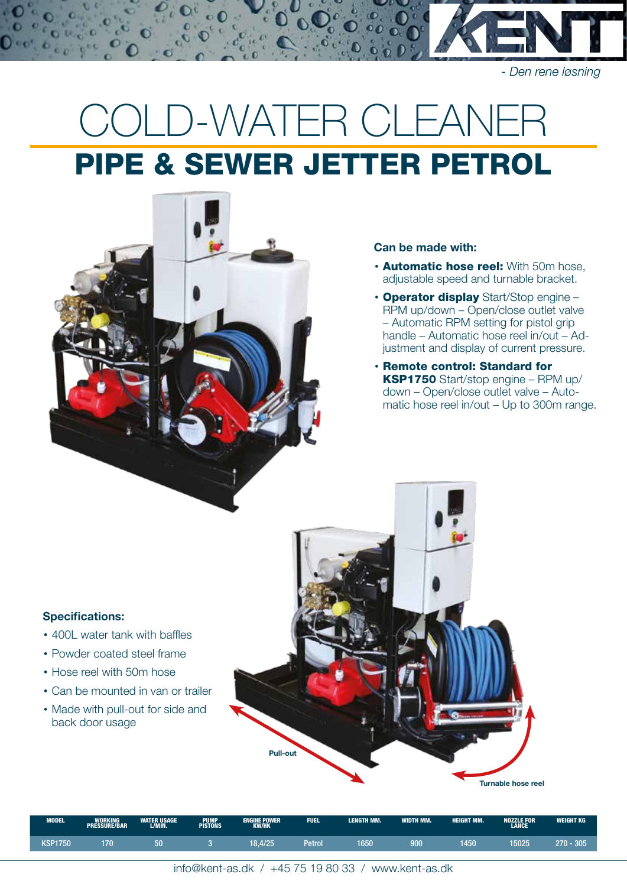# COLD-WATER CLEANE PIPE & SEWER JETTER PETROL



#### Can be made with:

- **Automatic hose reel:** With 50m hose. adjustable speed and turnable bracket.
- Operator display Start/Stop engine RPM up/down – Open/close outlet valve – Automatic RPM setting for pistol grip handle – Automatic hose reel in/out – Adjustment and display of current pressure.
- Remote control: Standard for KSP1750 Start/stop engine – RPM up/ down – Open/close outlet valve – Automatic hose reel in/out – Up to 300m range.

## Specifications:

- 400L water tank with baffles
- Powder coated steel frame
- Hose reel with 50m hose
- Can be mounted in van or trailer
- Made with pull-out for side and back door usage



| <b>MODEL</b>   | <b>WORKING</b><br><b>PRESSURE/BAR</b> | <b>WATER USAGE</b><br>L/MIN. | <b>PUMP</b><br><b>PISTONS</b> | <b>ENGINE POWER</b><br><b>KW/HK</b> | <b>FUEL</b> | <b>LENGTH MM.</b> | WIDTH MM. | <b>HEIGHT MM.</b> | <b>NOZZLE FOR</b><br><b>LANCE</b> | WEIGHT KG |
|----------------|---------------------------------------|------------------------------|-------------------------------|-------------------------------------|-------------|-------------------|-----------|-------------------|-----------------------------------|-----------|
| <b>KSP1750</b> | 70.                                   | cσ<br>οι                     |                               | 18.4/25                             | Petrol      | 1650              | 900       | 450               | 15025                             | 270 - 305 |